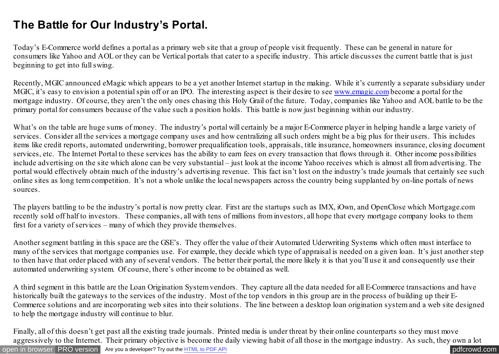## **The Battle for Our Industry's Portal.**

Today's E-Commerce world defines a portal as a primary web site that a group of people visit frequently. These can be general in nature for consumers like Yahoo and AOL or they can be Vertical portals that cater to a specific industry. This article discusses the current battle that is just beginning to get into full swing.

Recently, MGIC announced eMagic which appears to be a yet another Internet startup in the making. While it's currently a separate subsidiary under MGIC, it's easy to envision a potential spin off or an IPO. The interesting aspect is their desire to see [www.emagic.com](http://www.emagic.com/) become a portal for the mortgage industry. Of course, they aren't the only ones chasing this Holy Grail of the future. Today, companies like Yahoo and AOL battle to be the primary portal for consumers because of the value such a position holds. This battle is now just beginning within our industry.

What's on the table are huge sums of money. The industry's portal will certainly be a major E-Commerce player in helping handle a large variety of services. Consider all the services a mortgage company uses and how centralizing all such orders might be a big plus for their users. This includes items like credit reports, automated underwriting, borrower prequalification tools, appraisals, title insurance, homeowners insurance, closing document services, etc. The Internet Portal to these services has the ability to earn fees on every transaction that flows through it. Other income possibilities include advertising on the site which alone can be very substantial – just look at the income Yahoo receives which is almost all from advertising. The portal would effectively obtain much of the industry's advertising revenue. This fact isn't lost on the industry's trade journals that certainly see such online sites as long term competition. It's not a whole unlike the local newspapers across the country being supplanted by on-line portals of news sources.

The players battling to be the industry's portal is now pretty clear. First are the startups such as IMX, iOwn, and OpenClose which Mortgage.com recently sold off half to investors. These companies, all with tens of millions from investors, all hope that every mortgage company looks to them first for a variety of services – many of which they provide themselves.

Another segment battling in this space are the GSE's. They offer the value of their Automated Uderwriting Systems which often must interface to many of the services that mortgage companies use. For example, they decide which type of appraisal is needed on a given loan. It's just another step to then have that order placed with any of several vendors. The better their portal, the more likely it is that you'll use it and consequently use their automated underwriting system. Of course, there's other income to be obtained as well.

A third segment in this battle are the Loan Origination System vendors. They capture all the data needed for all E-Commerce transactions and have historically built the gateways to the services of the industry. Most of the top vendors in this group are in the process of building up their E-Commerce solutions and are incorporating web sites into their solutions. The line between a desktop loan origination system and a web site designed to help the mortgage industry will continue to blur.

[open in browser](http://pdfcrowd.com/redirect/?url=http%3a%2f%2fscooley.com%2fMOM15.htm&id=ma-140812022119-7df9ccd3) [PRO version](http://pdfcrowd.com/customize/) Are you a developer? Try out th[e HTML to PDF API](http://pdfcrowd.com/html-to-pdf-api/?ref=pdf) compared and the ATML to PDF API [pdfcrowd.com](http://pdfcrowd.com) Finally, all of this doesn't get past all the existing trade journals. Printed media is under threat by their online counterparts so they must move aggressively to the Internet. Their primary objective is become the daily viewing habit of all those in the mortgage industry. As such, they own a lot